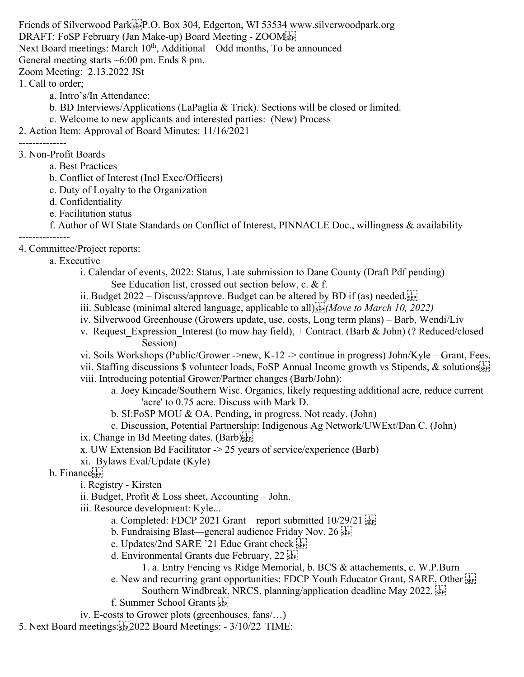Friends of Silverwood Park<sup>[1]</sup>; P.O. Box 304, Edgerton, WI 53534 www.silverwoodpark.org

DRAFT: FoSP February (Jan Make-up) Board Meeting - ZOOMSEPT

Next Board meetings: March  $10<sup>th</sup>$ , Additional – Odd months, To be announced

General meeting starts ~6:00 pm. Ends 8 pm.

Zoom Meeting: 2.13.2022 JSt

1. Call to order;

- a. Intro's/In Attendance:
- b. BD Interviews/Applications (LaPaglia & Trick). Sections will be closed or limited.
- c. Welcome to new applicants and interested parties: (New) Process

2. Action Item: Approval of Board Minutes: 11/16/2021

--------------

- 3. Non-Profit Boards
	- a. Best Practices
	- b. Conflict of Interest (Incl Exec/Officers)
	- c. Duty of Loyalty to the Organization
	- d. Confidentiality
	- e. Facilitation status

f. Author of WI State Standards on Conflict of Interest, PINNACLE Doc., willingness & availability

--------------- 4. Committee/Project reports:

a. Executive

- i. Calendar of events, 2022: Status, Late submission to Dane County (Draft Pdf pending) See Education list, crossed out section below, c. & f.
- ii. Budget  $2022 \text{Discuss/approx}$ . Budget can be altered by BD if (as) needed.
- iii. Sublease (minimal altered language, applicable to all)<sup>[17]</sup> *Move to March 10, 2022*)
- iv. Silverwood Greenhouse (Growers update, use, costs, Long term plans) Barb, Wendi/Liv
- v. Request Expression Interest (to mow hay field),  $+$  Contract. (Barb & John) (? Reduced/closed Session)
- vi. Soils Workshops (Public/Grower ->new, K-12 -> continue in progress) John/Kyle Grant, Fees.
- vii. Staffing discussions \$ volunteer loads, FoSP Annual Income growth vs Stipends, & solutions see
- viii. Introducing potential Grower/Partner changes (Barb/John):
	- a. Joey Kincade/Southern Wisc. Organics, likely requesting additional acre, reduce current 'acre' to 0.75 acre. Discuss with Mark D.
		- b. SI:FoSP MOU & OA. Pending, in progress. Not ready. (John)
	- c. Discussion, Potential Partnership: Indigenous Ag Network/UWExt/Dan C. (John)
- ix. Change in Bd Meeting dates. (Barb)<sup>[17]</sup>
- x. UW Extension Bd Facilitator -> 25 years of service/experience (Barb)
- xi. Bylaws Eval/Update (Kyle)

b. Finance<sup>[1]</sup>

i. Registry - Kirsten

- ii. Budget, Profit & Loss sheet, Accounting John.
- iii. Resource development: Kyle...
	- a. Completed: FDCP 2021 Grant—report submitted 10/29/21 [1]
	- b. Fundraising Blast—general audience Friday Nov. 26  $\frac{1}{2}$
	- c. Updates/2nd SARE '21 Educ Grant check
	- d. Environmental Grants due February,  $22\sqrt{11}$ 
		- 1. a. Entry Fencing vs Ridge Memorial, b. BCS & attachements, c. W.P.Burn
	- e. New and recurring grant opportunities: FDCP Youth Educator Grant, SARE, Other
		- Southern Windbreak, NRCS, planning/application deadline May 2022.
	- f. Summer School Grants
- iv. E-costs to Grower plots (greenhouses, fans/…)

5. Next Board meetings:
2022 Board Meetings: - 3/10/22 TIME: